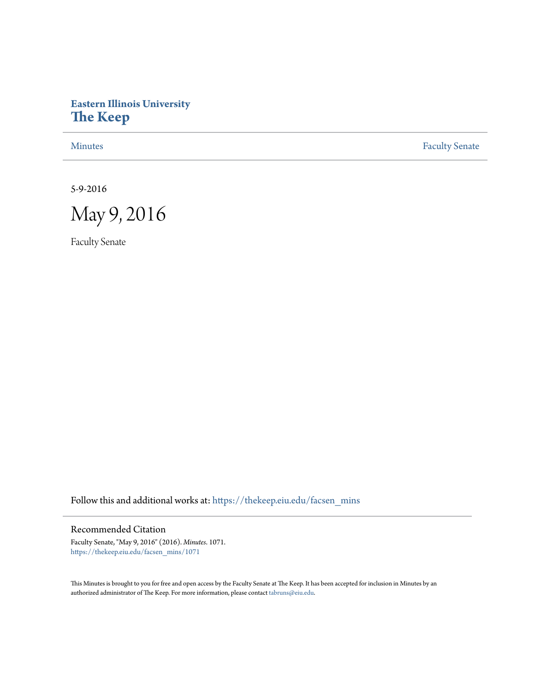# **Eastern Illinois University [The Keep](https://thekeep.eiu.edu?utm_source=thekeep.eiu.edu%2Ffacsen_mins%2F1071&utm_medium=PDF&utm_campaign=PDFCoverPages)**

[Minutes](https://thekeep.eiu.edu/facsen_mins?utm_source=thekeep.eiu.edu%2Ffacsen_mins%2F1071&utm_medium=PDF&utm_campaign=PDFCoverPages) **[Faculty Senate](https://thekeep.eiu.edu/fac_senate?utm_source=thekeep.eiu.edu%2Ffacsen_mins%2F1071&utm_medium=PDF&utm_campaign=PDFCoverPages)** 

5-9-2016



Faculty Senate

Follow this and additional works at: [https://thekeep.eiu.edu/facsen\\_mins](https://thekeep.eiu.edu/facsen_mins?utm_source=thekeep.eiu.edu%2Ffacsen_mins%2F1071&utm_medium=PDF&utm_campaign=PDFCoverPages)

# Recommended Citation

Faculty Senate, "May 9, 2016" (2016). *Minutes*. 1071. [https://thekeep.eiu.edu/facsen\\_mins/1071](https://thekeep.eiu.edu/facsen_mins/1071?utm_source=thekeep.eiu.edu%2Ffacsen_mins%2F1071&utm_medium=PDF&utm_campaign=PDFCoverPages)

This Minutes is brought to you for free and open access by the Faculty Senate at The Keep. It has been accepted for inclusion in Minutes by an authorized administrator of The Keep. For more information, please contact [tabruns@eiu.edu](mailto:tabruns@eiu.edu).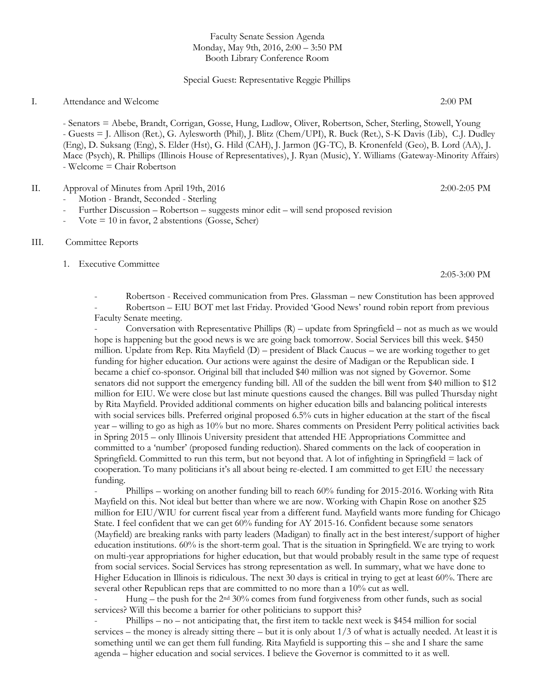## Faculty Senate Session Agenda Monday, May 9th, 2016, 2:00 – 3:50 PM Booth Library Conference Room

#### Special Guest: Representative Reggie Phillips

### I. Attendance and Welcome 2:00 PM

- Senators = Abebe, Brandt, Corrigan, Gosse, Hung, Ludlow, Oliver, Robertson, Scher, Sterling, Stowell, Young - Guests = J. Allison (Ret.), G. Aylesworth (Phil), J. Blitz (Chem/UPI), R. Buck (Ret.), S-K Davis (Lib), C.J. Dudley (Eng), D. Suksang (Eng), S. Elder (Hst), G. Hild (CAH), J. Jarmon (JG-TC), B. Kronenfeld (Geo), B. Lord (AA), J. Mace (Psych), R. Phillips (Illinois House of Representatives), J. Ryan (Music), Y. Williams (Gateway-Minority Affairs) - Welcome = Chair Robertson

#### II. Approval of Minutes from April 19th, 2016 2:00-2:05 PM

- Motion Brandt, Seconded Sterling
- Further Discussion Robertson suggests minor edit will send proposed revision
- $\text{Vote} = 10$  in favor, 2 abstentions (Gosse, Scher)

#### III. Committee Reports

1. Executive Committee

2:05-3:00 PM

- Robertson - Received communication from Pres. Glassman – new Constitution has been approved - Robertson – EIU BOT met last Friday. Provided 'Good News' round robin report from previous Faculty Senate meeting.

Conversation with Representative Phillips  $(R)$  – update from Springfield – not as much as we would hope is happening but the good news is we are going back tomorrow. Social Services bill this week. \$450 million. Update from Rep. Rita Mayfield (D) – president of Black Caucus – we are working together to get funding for higher education. Our actions were against the desire of Madigan or the Republican side. I became a chief co-sponsor. Original bill that included \$40 million was not signed by Governor. Some senators did not support the emergency funding bill. All of the sudden the bill went from \$40 million to \$12 million for EIU. We were close but last minute questions caused the changes. Bill was pulled Thursday night by Rita Mayfield. Provided additional comments on higher education bills and balancing political interests with social services bills. Preferred original proposed 6.5% cuts in higher education at the start of the fiscal year – willing to go as high as 10% but no more. Shares comments on President Perry political activities back in Spring 2015 – only Illinois University president that attended HE Appropriations Committee and committed to a 'number' (proposed funding reduction). Shared comments on the lack of cooperation in Springfield. Committed to run this term, but not beyond that. A lot of infighting in Springfield = lack of cooperation. To many politicians it's all about being re-elected. I am committed to get EIU the necessary funding.

- Phillips – working on another funding bill to reach 60% funding for 2015-2016. Working with Rita Mayfield on this. Not ideal but better than where we are now. Working with Chapin Rose on another \$25 million for EIU/WIU for current fiscal year from a different fund. Mayfield wants more funding for Chicago State. I feel confident that we can get 60% funding for AY 2015-16. Confident because some senators (Mayfield) are breaking ranks with party leaders (Madigan) to finally act in the best interest/support of higher education institutions. 60% is the short-term goal. That is the situation in Springfield. We are trying to work on multi-year appropriations for higher education, but that would probably result in the same type of request from social services. Social Services has strong representation as well. In summary, what we have done to Higher Education in Illinois is ridiculous. The next 30 days is critical in trying to get at least 60%. There are several other Republican reps that are committed to no more than a 10% cut as well.

Hung – the push for the 2<sup>nd</sup> 30% comes from fund forgiveness from other funds, such as social services? Will this become a barrier for other politicians to support this?

Phillips – no – not anticipating that, the first item to tackle next week is \$454 million for social services – the money is already sitting there – but it is only about  $1/3$  of what is actually needed. At least it is something until we can get them full funding. Rita Mayfield is supporting this – she and I share the same agenda – higher education and social services. I believe the Governor is committed to it as well.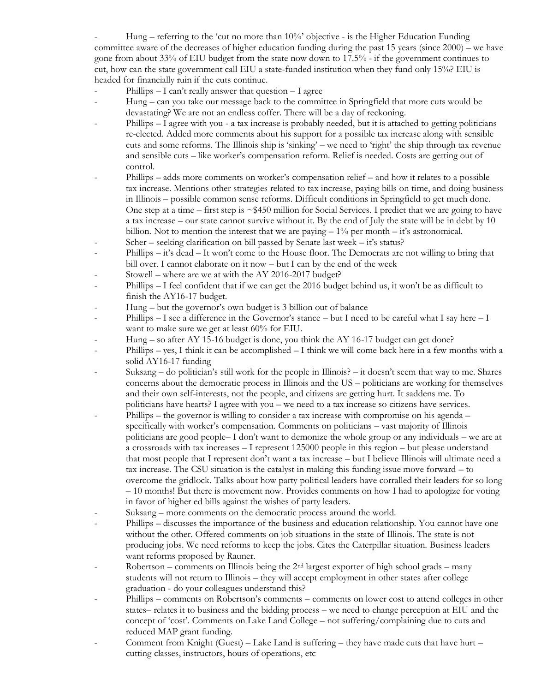Hung – referring to the 'cut no more than  $10\%$ ' objective - is the Higher Education Funding committee aware of the decreases of higher education funding during the past 15 years (since 2000) – we have gone from about 33% of EIU budget from the state now down to 17.5% - if the government continues to cut, how can the state government call EIU a state-funded institution when they fund only 15%? EIU is headed for financially ruin if the cuts continue.

- Phillips  $I$  can't really answer that question  $I$  agree
- Hung can you take our message back to the committee in Springfield that more cuts would be devastating? We are not an endless coffer. There will be a day of reckoning.
- Phillips I agree with you a tax increase is probably needed, but it is attached to getting politicians re-elected. Added more comments about his support for a possible tax increase along with sensible cuts and some reforms. The Illinois ship is 'sinking' – we need to 'right' the ship through tax revenue and sensible cuts – like worker's compensation reform. Relief is needed. Costs are getting out of control.
- Phillips adds more comments on worker's compensation relief and how it relates to a possible tax increase. Mentions other strategies related to tax increase, paying bills on time, and doing business in Illinois – possible common sense reforms. Difficult conditions in Springfield to get much done. One step at a time – first step is  $\sim $450$  million for Social Services. I predict that we are going to have a tax increase – our state cannot survive without it. By the end of July the state will be in debt by 10 billion. Not to mention the interest that we are paying  $-1\%$  per month  $-i$  it's astronomical.
- Scher seeking clarification on bill passed by Senate last week it's status?
- Phillips it's dead It won't come to the House floor. The Democrats are not willing to bring that bill over. I cannot elaborate on it now – but I can by the end of the week
- Stowell where are we at with the AY 2016-2017 budget?
- Phillips I feel confident that if we can get the 2016 budget behind us, it won't be as difficult to finish the AY16-17 budget.
- Hung but the governor's own budget is 3 billion out of balance
- Phillips I see a difference in the Governor's stance but I need to be careful what I say here  $-1$ want to make sure we get at least 60% for EIU.
- Hung so after  $AY$  15-16 budget is done, you think the  $AY$  16-17 budget can get done?
- Phillips yes, I think it can be accomplished I think we will come back here in a few months with a solid AY16-17 funding
- Suksang do politician's still work for the people in Illinois? it doesn't seem that way to me. Shares concerns about the democratic process in Illinois and the US – politicians are working for themselves and their own self-interests, not the people, and citizens are getting hurt. It saddens me. To politicians have hearts? I agree with you – we need to a tax increase so citizens have services.
- Phillips the governor is willing to consider a tax increase with compromise on his agenda specifically with worker's compensation. Comments on politicians – vast majority of Illinois politicians are good people– I don't want to demonize the whole group or any individuals – we are at a crossroads with tax increases – I represent 125000 people in this region – but please understand that most people that I represent don't want a tax increase – but I believe Illinois will ultimate need a tax increase. The CSU situation is the catalyst in making this funding issue move forward – to overcome the gridlock. Talks about how party political leaders have corralled their leaders for so long – 10 months! But there is movement now. Provides comments on how I had to apologize for voting in favor of higher ed bills against the wishes of party leaders.
- Suksang more comments on the democratic process around the world.
- Phillips discusses the importance of the business and education relationship. You cannot have one without the other. Offered comments on job situations in the state of Illinois. The state is not producing jobs. We need reforms to keep the jobs. Cites the Caterpillar situation. Business leaders want reforms proposed by Rauner.
- Robertson comments on Illinois being the 2<sup>nd</sup> largest exporter of high school grads many students will not return to Illinois – they will accept employment in other states after college graduation - do your colleagues understand this?
- Phillips comments on Robertson's comments comments on lower cost to attend colleges in other states– relates it to business and the bidding process – we need to change perception at EIU and the concept of 'cost'. Comments on Lake Land College – not suffering/complaining due to cuts and reduced MAP grant funding.
- Comment from Knight (Guest) Lake Land is suffering they have made cuts that have hurt cutting classes, instructors, hours of operations, etc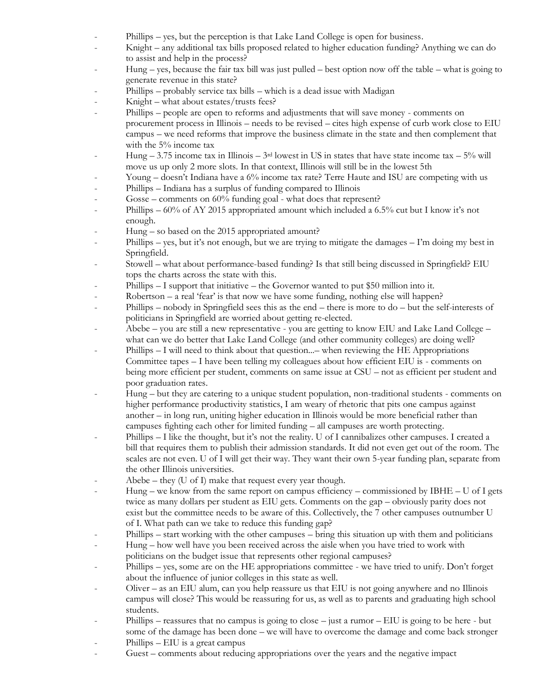- Phillips yes, but the perception is that Lake Land College is open for business.
- Knight any additional tax bills proposed related to higher education funding? Anything we can do to assist and help in the process?
- Hung yes, because the fair tax bill was just pulled best option now off the table what is going to generate revenue in this state?
- Phillips probably service tax bills which is a dead issue with Madigan
- Knight what about estates/trusts fees?
- Phillips people are open to reforms and adjustments that will save money comments on procurement process in Illinois – needs to be revised – cites high expense of curb work close to EIU campus – we need reforms that improve the business climate in the state and then complement that with the 5% income tax
- Hung 3.75 income tax in Illinois  $3<sup>rd</sup>$  lowest in US in states that have state income tax  $5%$  will move us up only 2 more slots. In that context, Illinois will still be in the lowest 5th
- Young doesn't Indiana have a 6% income tax rate? Terre Haute and ISU are competing with us
- Phillips Indiana has a surplus of funding compared to Illinois
- Gosse comments on 60% funding goal what does that represent?
- Phillips 60% of AY 2015 appropriated amount which included a 6.5% cut but I know it's not enough.
- Hung so based on the 2015 appropriated amount?
- Phillips yes, but it's not enough, but we are trying to mitigate the damages I'm doing my best in Springfield.
- Stowell what about performance-based funding? Is that still being discussed in Springfield? EIU tops the charts across the state with this.
- Phillips  $I$  support that initiative the Governor wanted to put \$50 million into it.
- Robertson a real 'fear' is that now we have some funding, nothing else will happen?
- Phillips nobody in Springfield sees this as the end there is more to do but the self-interests of politicians in Springfield are worried about getting re-elected.
- Abebe you are still a new representative you are getting to know EIU and Lake Land College what can we do better that Lake Land College (and other community colleges) are doing well?
- Phillips I will need to think about that question... when reviewing the HE Appropriations Committee tapes – I have been telling my colleagues about how efficient EIU is - comments on being more efficient per student, comments on same issue at CSU – not as efficient per student and poor graduation rates.
- Hung but they are catering to a unique student population, non-traditional students comments on higher performance productivity statistics, I am weary of rhetoric that pits one campus against another – in long run, uniting higher education in Illinois would be more beneficial rather than campuses fighting each other for limited funding – all campuses are worth protecting.
- Phillips I like the thought, but it's not the reality. U of I cannibalizes other campuses. I created a bill that requires them to publish their admission standards. It did not even get out of the room. The scales are not even. U of I will get their way. They want their own 5-year funding plan, separate from the other Illinois universities.
- $A$ bebe they (U of I) make that request every year though.
- Hung we know from the same report on campus efficiency commissioned by IBHE U of I gets twice as many dollars per student as EIU gets. Comments on the gap – obviously parity does not exist but the committee needs to be aware of this. Collectively, the 7 other campuses outnumber U of I. What path can we take to reduce this funding gap?
- Phillips start working with the other campuses bring this situation up with them and politicians
- Hung how well have you been received across the aisle when you have tried to work with politicians on the budget issue that represents other regional campuses?
- Phillips yes, some are on the HE appropriations committee we have tried to unify. Don't forget about the influence of junior colleges in this state as well.
- Oliver  $-$  as an EIU alum, can you help reassure us that EIU is not going anywhere and no Illinois campus will close? This would be reassuring for us, as well as to parents and graduating high school students.
- Phillips reassures that no campus is going to close just a rumor EIU is going to be here but some of the damage has been done – we will have to overcome the damage and come back stronger
- $\text{Philips} \text{EIU}$  is a great campus
- Guest comments about reducing appropriations over the years and the negative impact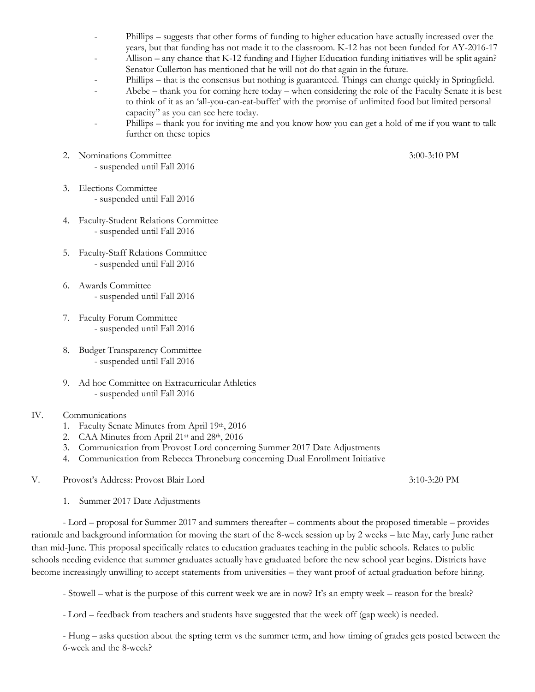- Phillips suggests that other forms of funding to higher education have actually increased over the years, but that funding has not made it to the classroom. K-12 has not been funded for AY-2016-17
- Allison any chance that K-12 funding and Higher Education funding initiatives will be split again? Senator Cullerton has mentioned that he will not do that again in the future.
- Phillips that is the consensus but nothing is guaranteed. Things can change quickly in Springfield.
- Abebe thank you for coming here today when considering the role of the Faculty Senate it is best to think of it as an 'all-you-can-eat-buffet' with the promise of unlimited food but limited personal capacity" as you can see here today.
- Phillips thank you for inviting me and you know how you can get a hold of me if you want to talk further on these topics
- 2. Nominations Committee 3:00-3:10 PM
	- suspended until Fall 2016
- 3. Elections Committee - suspended until Fall 2016
- 4. Faculty-Student Relations Committee - suspended until Fall 2016
- 5. Faculty-Staff Relations Committee - suspended until Fall 2016
- 6. Awards Committee - suspended until Fall 2016
- 7. Faculty Forum Committee - suspended until Fall 2016
- 8. Budget Transparency Committee - suspended until Fall 2016
- 9. Ad hoc Committee on Extracurricular Athletics - suspended until Fall 2016
- IV. Communications
	- 1. Faculty Senate Minutes from April 19th, 2016
	- 2. CAA Minutes from April 21st and 28th, 2016
	- 3. Communication from Provost Lord concerning Summer 2017 Date Adjustments
	- 4. Communication from Rebecca Throneburg concerning Dual Enrollment Initiative
- V. Provost's Address: Provost Blair Lord 3:10-3:20 PM
	- 1. Summer 2017 Date Adjustments

- Lord – proposal for Summer 2017 and summers thereafter – comments about the proposed timetable – provides rationale and background information for moving the start of the 8-week session up by 2 weeks – late May, early June rather than mid-June. This proposal specifically relates to education graduates teaching in the public schools. Relates to public schools needing evidence that summer graduates actually have graduated before the new school year begins. Districts have become increasingly unwilling to accept statements from universities – they want proof of actual graduation before hiring.

- Stowell – what is the purpose of this current week we are in now? It's an empty week – reason for the break?

- Lord – feedback from teachers and students have suggested that the week off (gap week) is needed.

- Hung – asks question about the spring term vs the summer term, and how timing of grades gets posted between the 6-week and the 8-week?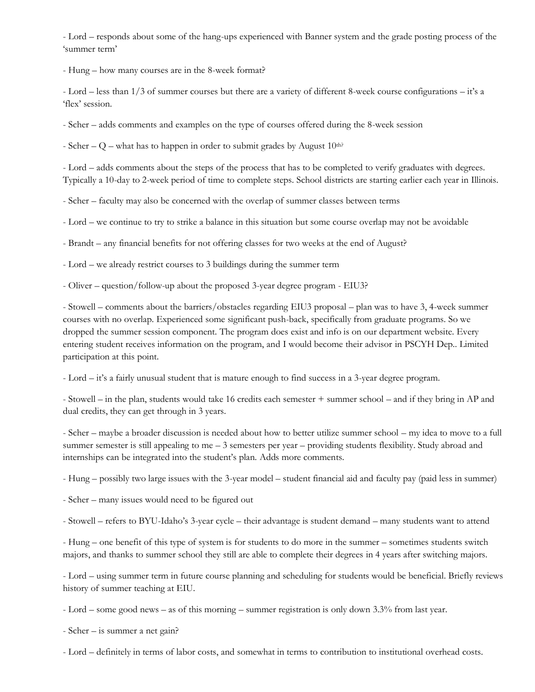- Lord – responds about some of the hang-ups experienced with Banner system and the grade posting process of the 'summer term'

- Hung – how many courses are in the 8-week format?

- Lord – less than 1/3 of summer courses but there are a variety of different 8-week course configurations – it's a 'flex' session.

- Scher – adds comments and examples on the type of courses offered during the 8-week session

- Scher – Q – what has to happen in order to submit grades by August  $10^{\text{th}}$ ?

- Lord – adds comments about the steps of the process that has to be completed to verify graduates with degrees. Typically a 10-day to 2-week period of time to complete steps. School districts are starting earlier each year in Illinois.

- Scher – faculty may also be concerned with the overlap of summer classes between terms

- Lord – we continue to try to strike a balance in this situation but some course overlap may not be avoidable

- Brandt – any financial benefits for not offering classes for two weeks at the end of August?

- Lord – we already restrict courses to 3 buildings during the summer term

- Oliver – question/follow-up about the proposed 3-year degree program - EIU3?

- Stowell – comments about the barriers/obstacles regarding EIU3 proposal – plan was to have 3, 4-week summer courses with no overlap. Experienced some significant push-back, specifically from graduate programs. So we dropped the summer session component. The program does exist and info is on our department website. Every entering student receives information on the program, and I would become their advisor in PSCYH Dep.. Limited participation at this point.

- Lord – it's a fairly unusual student that is mature enough to find success in a 3-year degree program.

- Stowell – in the plan, students would take 16 credits each semester + summer school – and if they bring in AP and dual credits, they can get through in 3 years.

- Scher – maybe a broader discussion is needed about how to better utilize summer school – my idea to move to a full summer semester is still appealing to me – 3 semesters per year – providing students flexibility. Study abroad and internships can be integrated into the student's plan. Adds more comments.

- Hung – possibly two large issues with the 3-year model – student financial aid and faculty pay (paid less in summer)

- Scher – many issues would need to be figured out

- Stowell – refers to BYU-Idaho's 3-year cycle – their advantage is student demand – many students want to attend

- Hung – one benefit of this type of system is for students to do more in the summer – sometimes students switch majors, and thanks to summer school they still are able to complete their degrees in 4 years after switching majors.

- Lord – using summer term in future course planning and scheduling for students would be beneficial. Briefly reviews history of summer teaching at EIU.

- Lord – some good news – as of this morning – summer registration is only down 3.3% from last year.

- Scher – is summer a net gain?

- Lord – definitely in terms of labor costs, and somewhat in terms to contribution to institutional overhead costs.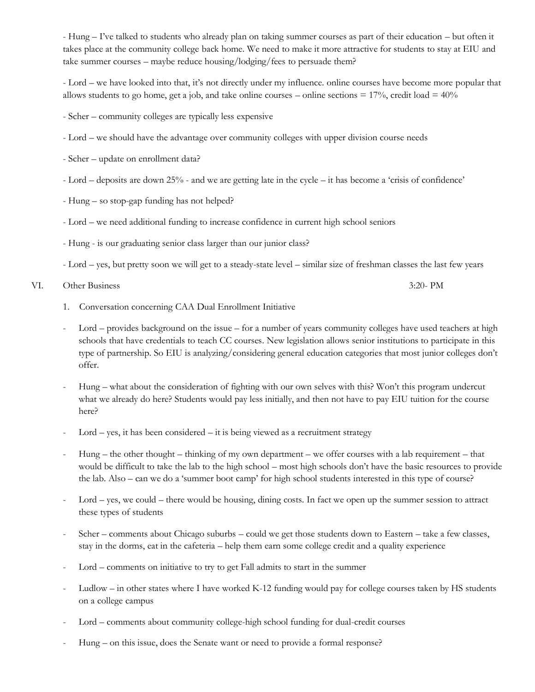- Hung – I've talked to students who already plan on taking summer courses as part of their education – but often it takes place at the community college back home. We need to make it more attractive for students to stay at EIU and take summer courses – maybe reduce housing/lodging/fees to persuade them?

- Lord – we have looked into that, it's not directly under my influence. online courses have become more popular that allows students to go home, get a job, and take online courses – online sections  $= 17\%$ , credit load  $= 40\%$ 

- Scher – community colleges are typically less expensive

- Lord we should have the advantage over community colleges with upper division course needs
- Scher update on enrollment data?
- Lord deposits are down 25% and we are getting late in the cycle it has become a 'crisis of confidence'
- Hung so stop-gap funding has not helped?
- Lord we need additional funding to increase confidence in current high school seniors
- Hung is our graduating senior class larger than our junior class?
- Lord yes, but pretty soon we will get to a steady-state level similar size of freshman classes the last few years

VI. Other Business 3:20- PM

- 1. Conversation concerning CAA Dual Enrollment Initiative
- Lord provides background on the issue for a number of years community colleges have used teachers at high schools that have credentials to teach CC courses. New legislation allows senior institutions to participate in this type of partnership. So EIU is analyzing/considering general education categories that most junior colleges don't offer.
- Hung what about the consideration of fighting with our own selves with this? Won't this program undercut what we already do here? Students would pay less initially, and then not have to pay EIU tuition for the course here?
- $Lord yes$ , it has been considered  $-$  it is being viewed as a recruitment strategy
- $Hung the other thought thinking of my own department we offer courses with a lab requirement that$ would be difficult to take the lab to the high school – most high schools don't have the basic resources to provide the lab. Also – can we do a 'summer boot camp' for high school students interested in this type of course?
- Lord yes, we could there would be housing, dining costs. In fact we open up the summer session to attract these types of students
- Scher comments about Chicago suburbs could we get those students down to Eastern take a few classes, stay in the dorms, eat in the cafeteria – help them earn some college credit and a quality experience
- Lord comments on initiative to try to get Fall admits to start in the summer
- Ludlow in other states where I have worked K-12 funding would pay for college courses taken by HS students on a college campus
- Lord comments about community college-high school funding for dual-credit courses
- Hung on this issue, does the Senate want or need to provide a formal response?